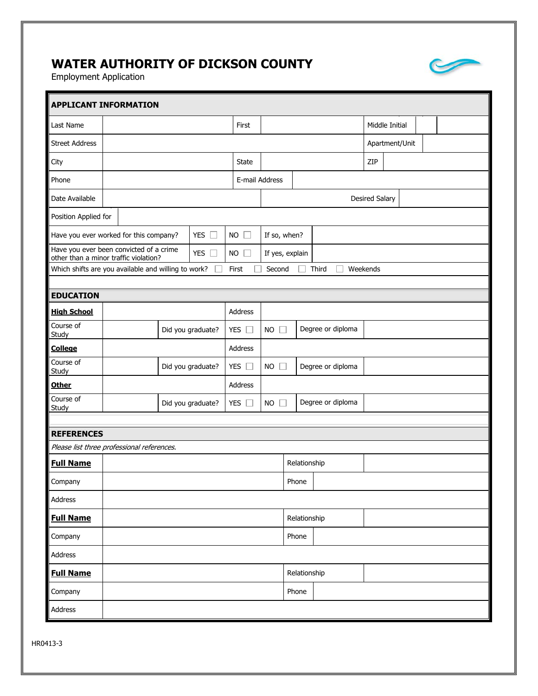## **WATER AUTHORITY OF DICKSON COUNTY**

Employment Application

| <b>APPLICANT INFORMATION</b>                                                                |                                                                                                   |                   |           |                 |                                                  |                       |                   |                |  |  |  |  |
|---------------------------------------------------------------------------------------------|---------------------------------------------------------------------------------------------------|-------------------|-----------|-----------------|--------------------------------------------------|-----------------------|-------------------|----------------|--|--|--|--|
| Last Name                                                                                   |                                                                                                   |                   |           | First           |                                                  |                       | Middle Initial    |                |  |  |  |  |
| <b>Street Address</b>                                                                       |                                                                                                   |                   |           |                 |                                                  |                       |                   | Apartment/Unit |  |  |  |  |
| City                                                                                        |                                                                                                   |                   |           | <b>State</b>    |                                                  |                       |                   | ZIP            |  |  |  |  |
| Phone                                                                                       |                                                                                                   |                   |           | E-mail Address  |                                                  |                       |                   |                |  |  |  |  |
| Date Available                                                                              |                                                                                                   |                   |           |                 |                                                  | <b>Desired Salary</b> |                   |                |  |  |  |  |
| Position Applied for                                                                        |                                                                                                   |                   |           |                 |                                                  |                       |                   |                |  |  |  |  |
|                                                                                             | <b>YES</b><br>Have you ever worked for this company?<br>$\Box$                                    |                   | <b>NO</b> | If so, when?    |                                                  |                       |                   |                |  |  |  |  |
|                                                                                             | Have you ever been convicted of a crime<br>YES $\square$<br>other than a minor traffic violation? |                   | <b>NO</b> | If yes, explain |                                                  |                       |                   |                |  |  |  |  |
| Which shifts are you available and willing to work?<br>Weekends<br>Second<br>Third<br>First |                                                                                                   |                   |           |                 |                                                  |                       |                   |                |  |  |  |  |
| <b>EDUCATION</b>                                                                            |                                                                                                   |                   |           |                 |                                                  |                       |                   |                |  |  |  |  |
| <b>High School</b>                                                                          |                                                                                                   |                   |           | Address         |                                                  |                       |                   |                |  |  |  |  |
| Course of<br>Study                                                                          |                                                                                                   | Did you graduate? |           | YES $\square$   | <b>NO</b><br>П                                   |                       | Degree or diploma |                |  |  |  |  |
| <b>College</b>                                                                              |                                                                                                   |                   |           | Address         |                                                  |                       |                   |                |  |  |  |  |
| Course of<br>Study                                                                          |                                                                                                   | Did you graduate? |           | <b>YES</b>      | <b>NO</b><br>$\mathbb{R}^n$                      |                       | Degree or diploma |                |  |  |  |  |
| <b>Other</b>                                                                                |                                                                                                   |                   |           | Address         |                                                  |                       |                   |                |  |  |  |  |
| Course of<br>Study                                                                          |                                                                                                   | Did you graduate? |           | YES [           | Degree or diploma<br><b>NO</b><br>$\mathbb{R}^n$ |                       |                   |                |  |  |  |  |
|                                                                                             |                                                                                                   |                   |           |                 |                                                  |                       |                   |                |  |  |  |  |
| <b>REFERENCES</b>                                                                           |                                                                                                   |                   |           |                 |                                                  |                       |                   |                |  |  |  |  |
| Please list three professional references.<br>Relationship                                  |                                                                                                   |                   |           |                 |                                                  |                       |                   |                |  |  |  |  |
| <b>Full Name</b>                                                                            |                                                                                                   |                   |           |                 |                                                  |                       |                   |                |  |  |  |  |
| Company                                                                                     |                                                                                                   |                   |           |                 |                                                  | Phone                 |                   |                |  |  |  |  |
| Address                                                                                     |                                                                                                   |                   |           |                 |                                                  |                       |                   |                |  |  |  |  |
| <b>Full Name</b>                                                                            |                                                                                                   |                   |           |                 | Relationship<br>Phone                            |                       |                   |                |  |  |  |  |
| Company                                                                                     |                                                                                                   |                   |           |                 |                                                  |                       |                   |                |  |  |  |  |
| Address                                                                                     |                                                                                                   |                   |           |                 |                                                  |                       |                   |                |  |  |  |  |
| <b>Full Name</b>                                                                            |                                                                                                   |                   |           |                 |                                                  | Relationship          |                   |                |  |  |  |  |
| Company                                                                                     |                                                                                                   |                   |           |                 |                                                  | Phone                 |                   |                |  |  |  |  |
| Address                                                                                     |                                                                                                   |                   |           |                 |                                                  |                       |                   |                |  |  |  |  |